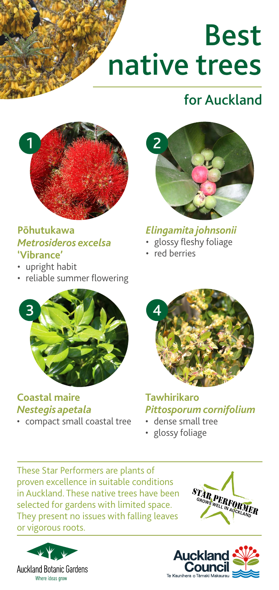# Best native trees

## for Auckland



#### **Pōhutukawa**  *Metrosideros excelsa*  **'Vibrance'**

- upright habit
- reliable summer flowering



#### *Elingamita johnsonii*

- glossy fleshy foliage
- red berries



#### **Coastal maire**  *Nestegis apetala*

• compact small coastal tree



**Tawhirikaro**  *Pittosporum cornifolium*

- dense small tree
- glossy foliage

These Star Performers are plants of proven excellence in suitable conditions in Auckland. These native trees have been selected for gardens with limited space. They present no issues with falling leaves or vigorous roots.





**STAR PERFOR**